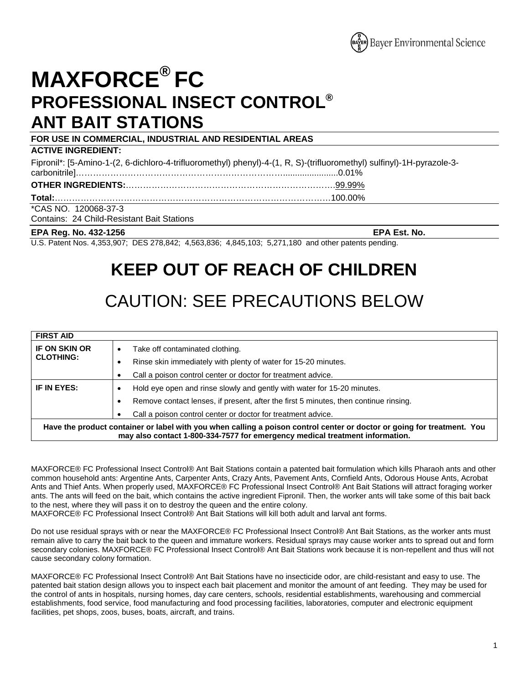

# **MAXFORCE® FC PROFESSIONAL INSECT CONTROL® ANT BAIT STATIONS**

**FOR USE IN COMMERCIAL, INDUSTRIAL AND RESIDENTIAL AREAS ACTIVE INGREDIENT:** Fipronil\*: [5-Amino-1-(2, 6-dichloro-4-trifluoromethyl) phenyl)-4-(1, R, S)-(trifluoromethyl) sulfinyl)-1H-pyrazole-3 carbonitrile]……………………………………………………………….......................0.01% **OTHER INGREDIENTS:**……………………………………………………………….99.99% **Total:**……………………………………………………………………………………100.00% \*CAS NO. 120068-37-3 Contains: 24 Child-Resistant Bait Stations

#### **EPA Reg. No. 432-1256 EPA Est. No.**

U.S. Patent Nos. 4,353,907; DES 278,842; 4,563,836; 4,845,103; 5,271,180 and other patents pending.

## **KEEP OUT OF REACH OF CHILDREN**

## CAUTION: SEE PRECAUTIONS BELOW

| <b>FIRST AID</b>                                                                                                                                                                                        |                                                                                           |
|---------------------------------------------------------------------------------------------------------------------------------------------------------------------------------------------------------|-------------------------------------------------------------------------------------------|
| <b>IF ON SKIN OR</b><br><b>CLOTHING:</b>                                                                                                                                                                | Take off contaminated clothing.<br>٠                                                      |
|                                                                                                                                                                                                         | Rinse skin immediately with plenty of water for 15-20 minutes.<br>٠                       |
|                                                                                                                                                                                                         | Call a poison control center or doctor for treatment advice.                              |
| IF IN EYES:                                                                                                                                                                                             | Hold eye open and rinse slowly and gently with water for 15-20 minutes.<br>$\bullet$      |
|                                                                                                                                                                                                         | Remove contact lenses, if present, after the first 5 minutes, then continue rinsing.<br>٠ |
|                                                                                                                                                                                                         | Call a poison control center or doctor for treatment advice.<br>٠                         |
| Have the product container or label with you when calling a poison control center or doctor or going for treatment. You<br>may also contact 1-800-334-7577 for emergency medical treatment information. |                                                                                           |

MAXFORCE® FC Professional Insect Control® Ant Bait Stations contain a patented bait formulation which kills Pharaoh ants and other common household ants: Argentine Ants, Carpenter Ants, Crazy Ants, Pavement Ants, Cornfield Ants, Odorous House Ants, Acrobat Ants and Thief Ants. When properly used, MAXFORCE® FC Professional Insect Control® Ant Bait Stations will attract foraging worker ants. The ants will feed on the bait, which contains the active ingredient Fipronil. Then, the worker ants will take some of this bait back to the nest, where they will pass it on to destroy the queen and the entire colony.

MAXFORCE® FC Professional Insect Control® Ant Bait Stations will kill both adult and larval ant forms.

Do not use residual sprays with or near the MAXFORCE® FC Professional Insect Control® Ant Bait Stations, as the worker ants must remain alive to carry the bait back to the queen and immature workers. Residual sprays may cause worker ants to spread out and form secondary colonies. MAXFORCE® FC Professional Insect Control® Ant Bait Stations work because it is non-repellent and thus will not cause secondary colony formation.

MAXFORCE® FC Professional Insect Control® Ant Bait Stations have no insecticide odor, are child-resistant and easy to use. The patented bait station design allows you to inspect each bait placement and monitor the amount of ant feeding. They may be used for the control of ants in hospitals, nursing homes, day care centers, schools, residential establishments, warehousing and commercial establishments, food service, food manufacturing and food processing facilities, laboratories, computer and electronic equipment facilities, pet shops, zoos, buses, boats, aircraft, and trains.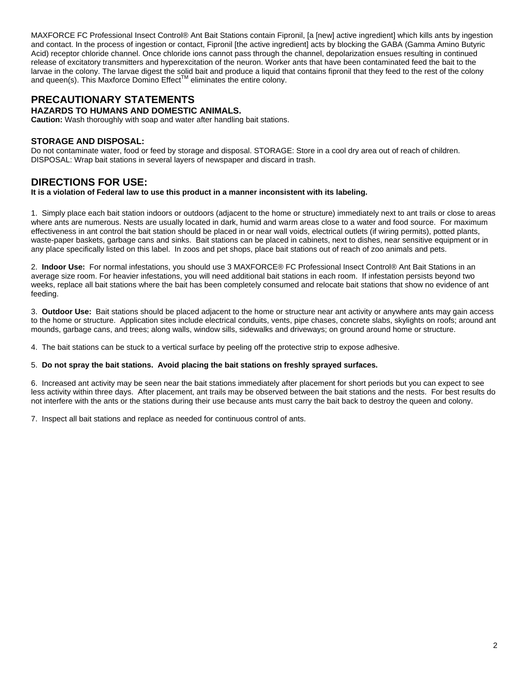MAXFORCE FC Professional Insect Control® Ant Bait Stations contain Fipronil, [a [new] active ingredient] which kills ants by ingestion and contact. In the process of ingestion or contact, Fipronil [the active ingredient] acts by blocking the GABA (Gamma Amino Butyric Acid) receptor chloride channel. Once chloride ions cannot pass through the channel, depolarization ensues resulting in continued release of excitatory transmitters and hyperexcitation of the neuron. Worker ants that have been contaminated feed the bait to the larvae in the colony. The larvae digest the solid bait and produce a liquid that contains fipronil that they feed to the rest of the colony and queen(s). This Maxforce Domino Effect<sup>™</sup> eliminates the entire colony.

## **PRECAUTIONARY STATEMENTS**

**HAZARDS TO HUMANS AND DOMESTIC ANIMALS.**

**Caution:** Wash thoroughly with soap and water after handling bait stations.

### **STORAGE AND DISPOSAL:**

Do not contaminate water, food or feed by storage and disposal. STORAGE: Store in a cool dry area out of reach of children. DISPOSAL: Wrap bait stations in several layers of newspaper and discard in trash.

## **DIRECTIONS FOR USE:**

**It is a violation of Federal law to use this product in a manner inconsistent with its labeling.** 

1. Simply place each bait station indoors or outdoors (adjacent to the home or structure) immediately next to ant trails or close to areas where ants are numerous. Nests are usually located in dark, humid and warm areas close to a water and food source. For maximum effectiveness in ant control the bait station should be placed in or near wall voids, electrical outlets (if wiring permits), potted plants, waste-paper baskets, garbage cans and sinks. Bait stations can be placed in cabinets, next to dishes, near sensitive equipment or in any place specifically listed on this label. In zoos and pet shops, place bait stations out of reach of zoo animals and pets.

2. **Indoor Use:** For normal infestations, you should use 3 MAXFORCE® FC Professional Insect Control® Ant Bait Stations in an average size room. For heavier infestations, you will need additional bait stations in each room. If infestation persists beyond two weeks, replace all bait stations where the bait has been completely consumed and relocate bait stations that show no evidence of ant feeding.

3. **Outdoor Use:** Bait stations should be placed adjacent to the home or structure near ant activity or anywhere ants may gain access to the home or structure. Application sites include electrical conduits, vents, pipe chases, concrete slabs, skylights on roofs; around ant mounds, garbage cans, and trees; along walls, window sills, sidewalks and driveways; on ground around home or structure.

4. The bait stations can be stuck to a vertical surface by peeling off the protective strip to expose adhesive.

### 5. **Do not spray the bait stations. Avoid placing the bait stations on freshly sprayed surfaces.**

6. Increased ant activity may be seen near the bait stations immediately after placement for short periods but you can expect to see less activity within three days. After placement, ant trails may be observed between the bait stations and the nests. For best results do not interfere with the ants or the stations during their use because ants must carry the bait back to destroy the queen and colony.

7. Inspect all bait stations and replace as needed for continuous control of ants.